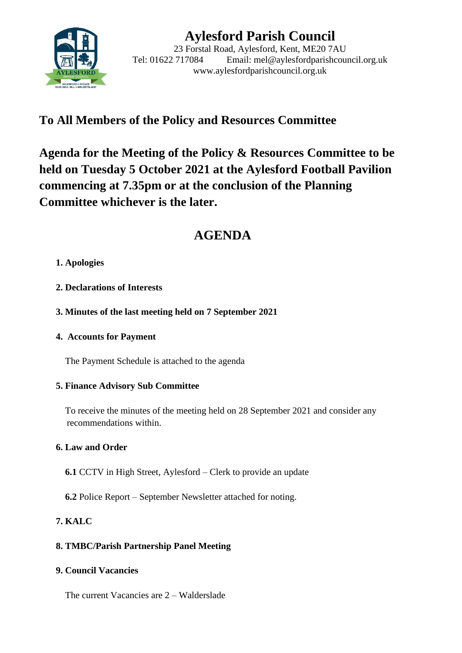

# **Aylesford Parish Council**

23 Forstal Road, Aylesford, Kent, ME20 7AU Tel: 01622 717084 Email: mel@aylesfordparishcouncil.org.uk www.aylesfordparishcouncil.org.uk

## **To All Members of the Policy and Resources Committee**

**Agenda for the Meeting of the Policy & Resources Committee to be held on Tuesday 5 October 2021 at the Aylesford Football Pavilion commencing at 7.35pm or at the conclusion of the Planning Committee whichever is the later.**

## **AGENDA**

## **1. Apologies**

- **2. Declarations of Interests**
- **3. Minutes of the last meeting held on 7 September 2021**

## **4. Accounts for Payment**

The Payment Schedule is attached to the agenda

## **5. Finance Advisory Sub Committee**

 To receive the minutes of the meeting held on 28 September 2021 and consider any recommendations within.

## **6. Law and Order**

- **6.1** CCTV in High Street, Aylesford Clerk to provide an update
- **6.2** Police Report September Newsletter attached for noting.

## **7. KALC**

## **8. TMBC/Parish Partnership Panel Meeting**

## **9. Council Vacancies**

The current Vacancies are 2 – Walderslade